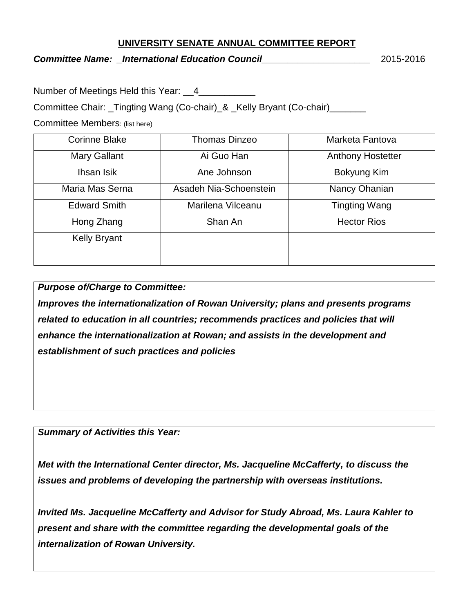## **UNIVERSITY SENATE ANNUAL COMMITTEE REPORT**

## *Committee Name: \_International Education Council\_\_\_\_\_\_\_\_\_\_\_\_\_\_\_\_\_\_\_\_\_* 2015-2016

Number of Meetings Held this Year: 4

Committee Chair: Tingting Wang (Co-chair) & Kelly Bryant (Co-chair)

Committee Members: (list here)

| <b>Corinne Blake</b> | <b>Thomas Dinzeo</b>   | Marketa Fantova          |
|----------------------|------------------------|--------------------------|
| <b>Mary Gallant</b>  | Ai Guo Han             | <b>Anthony Hostetter</b> |
| Ihsan Isik           | Ane Johnson            | Bokyung Kim              |
| Maria Mas Serna      | Asadeh Nia-Schoenstein | Nancy Ohanian            |
| <b>Edward Smith</b>  | Marilena Vilceanu      | Tingting Wang            |
| Hong Zhang           | Shan An                | <b>Hector Rios</b>       |
| <b>Kelly Bryant</b>  |                        |                          |
|                      |                        |                          |

*Purpose of/Charge to Committee:*

*Improves the internationalization of Rowan University; plans and presents programs related to education in all countries; recommends practices and policies that will enhance the internationalization at Rowan; and assists in the development and establishment of such practices and policies*

*Summary of Activities this Year:*

*Met with the International Center director, Ms. Jacqueline McCafferty, to discuss the issues and problems of developing the partnership with overseas institutions.* 

*Invited Ms. Jacqueline McCafferty and Advisor for Study Abroad, Ms. Laura Kahler to present and share with the committee regarding the developmental goals of the internalization of Rowan University.*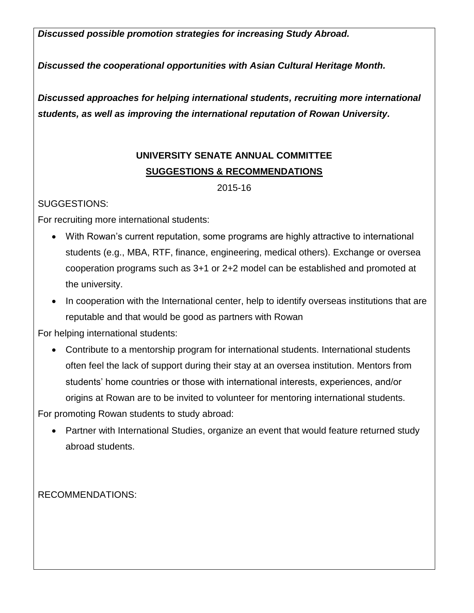*Discussed possible promotion strategies for increasing Study Abroad.*

*Discussed the cooperational opportunities with Asian Cultural Heritage Month.*

*Discussed approaches for helping international students, recruiting more international students, as well as improving the international reputation of Rowan University.*

## **UNIVERSITY SENATE ANNUAL COMMITTEE SUGGESTIONS & RECOMMENDATIONS**

2015-16

SUGGESTIONS:

For recruiting more international students:

- With Rowan's current reputation, some programs are highly attractive to international students (e.g., MBA, RTF, finance, engineering, medical others). Exchange or oversea cooperation programs such as 3+1 or 2+2 model can be established and promoted at the university.
- In cooperation with the International center, help to identify overseas institutions that are reputable and that would be good as partners with Rowan

For helping international students:

 Contribute to a mentorship program for international students. International students often feel the lack of support during their stay at an oversea institution. Mentors from students' home countries or those with international interests, experiences, and/or origins at Rowan are to be invited to volunteer for mentoring international students.

For promoting Rowan students to study abroad:

• Partner with International Studies, organize an event that would feature returned study abroad students.

RECOMMENDATIONS: